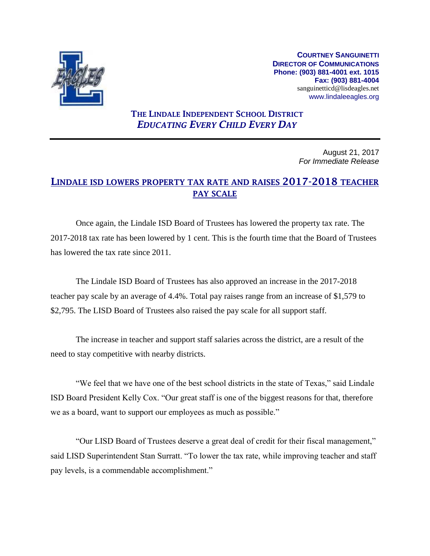

**COURTNEY SANGUINETTI DIRECTOR OF COMMUNICATIONS Phone: (903) 881-4001 ext. 1015 Fax: (903) 881-4004** sanguinetticd@lisdeagles.net www.lindaleeagles.org

## THE LINDALE INDEPENDENT SCHOOL DISTRICT *EDUCATING EVERY CHILD EVERY DAY*

August 21, 2017 *For Immediate Release*

## LINDALE ISD LOWERS PROPERTY TAX RATE AND RAISES 2017-2018 TEACHER PAY SCALE

Once again, the Lindale ISD Board of Trustees has lowered the property tax rate. The 2017-2018 tax rate has been lowered by 1 cent. This is the fourth time that the Board of Trustees has lowered the tax rate since 2011.

The Lindale ISD Board of Trustees has also approved an increase in the 2017-2018 teacher pay scale by an average of 4.4%. Total pay raises range from an increase of \$1,579 to \$2,795. The LISD Board of Trustees also raised the pay scale for all support staff.

The increase in teacher and support staff salaries across the district, are a result of the need to stay competitive with nearby districts.

"We feel that we have one of the best school districts in the state of Texas," said Lindale ISD Board President Kelly Cox. "Our great staff is one of the biggest reasons for that, therefore we as a board, want to support our employees as much as possible."

"Our LISD Board of Trustees deserve a great deal of credit for their fiscal management," said LISD Superintendent Stan Surratt. "To lower the tax rate, while improving teacher and staff pay levels, is a commendable accomplishment."